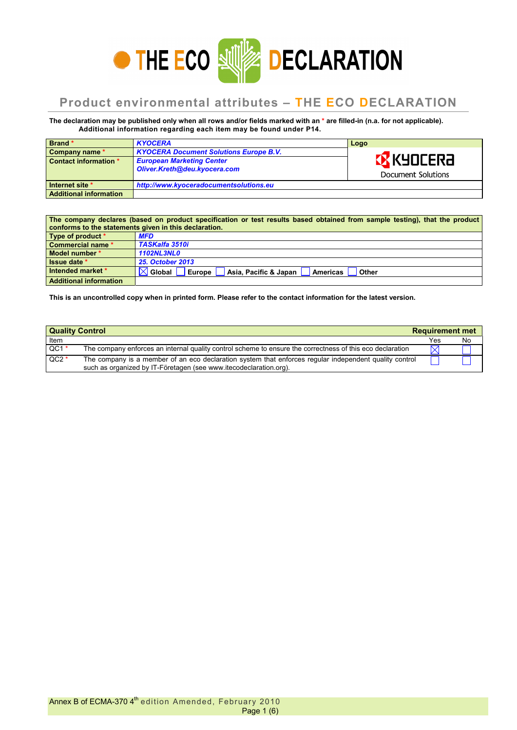

## **Product environmental attributes – THE ECO DECLARATION**

**The declaration may be published only when all rows and/or fields marked with an \* are filled-in (n.a. for not applicable). Additional information regarding each item may be found under P14.**

| Brand*                        | <b>KYOCERA</b>                                                   | Logo                                    |
|-------------------------------|------------------------------------------------------------------|-----------------------------------------|
| Company name *                | <b>KYOCERA Document Solutions Europe B.V.</b>                    |                                         |
| Contact information *         | <b>European Marketing Center</b><br>Oliver.Kreth@deu.kyocera.com | <b>EX KYOCERA</b><br>Document Solutions |
| Internet site *               | http://www.kyoceradocumentsolutions.eu                           |                                         |
| <b>Additional information</b> |                                                                  |                                         |

| The company declares (based on product specification or test results based obtained from sample testing), that the product<br>conforms to the statements given in this declaration. |                                                                             |  |  |  |
|-------------------------------------------------------------------------------------------------------------------------------------------------------------------------------------|-----------------------------------------------------------------------------|--|--|--|
| Type of product *                                                                                                                                                                   | <b>MFD</b>                                                                  |  |  |  |
| Commercial name *                                                                                                                                                                   | <b>TASKalfa 3510i</b>                                                       |  |  |  |
| Model number *                                                                                                                                                                      | <b>1102NL3NL0</b>                                                           |  |  |  |
| Issue date *                                                                                                                                                                        | <b>25. October 2013</b>                                                     |  |  |  |
| Intended market *                                                                                                                                                                   | <b>Global</b><br>Asia, Pacific & Japan   Americas<br>Europe<br><b>Other</b> |  |  |  |
| <b>Additional information</b>                                                                                                                                                       |                                                                             |  |  |  |

**This is an uncontrolled copy when in printed form. Please refer to the contact information for the latest version.** 

| <b>Quality Control</b> | <b>Requirement met</b>                                                                                                                                                      |             |    |
|------------------------|-----------------------------------------------------------------------------------------------------------------------------------------------------------------------------|-------------|----|
| Item                   |                                                                                                                                                                             | Yes         | No |
| $QC1*$                 | The company enforces an internal quality control scheme to ensure the correctness of this eco declaration                                                                   | $\boxtimes$ |    |
| $QC2*$                 | The company is a member of an eco declaration system that enforces regular independent quality control<br>such as organized by IT-Företagen (see www.itecodeclaration.org). |             |    |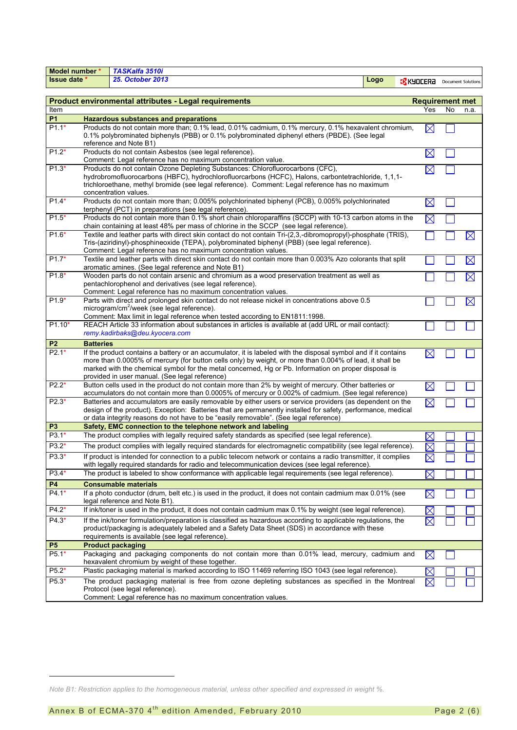| TASKalfa 3510i<br>Model number * |                                                                                                                                                                                                                                          |                                                                                                                                                            |      |                                      |                        |             |  |
|----------------------------------|------------------------------------------------------------------------------------------------------------------------------------------------------------------------------------------------------------------------------------------|------------------------------------------------------------------------------------------------------------------------------------------------------------|------|--------------------------------------|------------------------|-------------|--|
| Issue date *                     |                                                                                                                                                                                                                                          | <b>25. October 2013</b>                                                                                                                                    | Logo | <b>EX KYDEERA</b> Document Solutions |                        |             |  |
|                                  |                                                                                                                                                                                                                                          |                                                                                                                                                            |      |                                      |                        |             |  |
|                                  |                                                                                                                                                                                                                                          | Product environmental attributes - Legal requirements                                                                                                      |      |                                      | <b>Requirement met</b> |             |  |
| Item                             |                                                                                                                                                                                                                                          |                                                                                                                                                            |      | Yes                                  | No                     | n.a.        |  |
| <b>P1</b>                        |                                                                                                                                                                                                                                          | <b>Hazardous substances and preparations</b>                                                                                                               |      |                                      |                        |             |  |
| $P1.1*$                          | Products do not contain more than; 0.1% lead, 0.01% cadmium, 0.1% mercury, 0.1% hexavalent chromium,                                                                                                                                     |                                                                                                                                                            |      |                                      |                        |             |  |
|                                  | 0.1% polybrominated biphenyls (PBB) or 0.1% polybrominated diphenyl ethers (PBDE). (See legal                                                                                                                                            |                                                                                                                                                            |      |                                      |                        |             |  |
| $P1.2*$                          | reference and Note B1)<br>Products do not contain Asbestos (see legal reference).                                                                                                                                                        |                                                                                                                                                            |      |                                      |                        |             |  |
|                                  |                                                                                                                                                                                                                                          | Comment: Legal reference has no maximum concentration value.                                                                                               |      | $\boxtimes$                          |                        |             |  |
| $P1.3*$                          |                                                                                                                                                                                                                                          | Products do not contain Ozone Depleting Substances: Chlorofluorocarbons (CFC),                                                                             |      | $\boxtimes$                          |                        |             |  |
|                                  |                                                                                                                                                                                                                                          | hydrobromofluorocarbons (HBFC), hydrochlorofluorcarbons (HCFC), Halons, carbontetrachloride, 1,1,1-                                                        |      |                                      |                        |             |  |
|                                  |                                                                                                                                                                                                                                          | trichloroethane, methyl bromide (see legal reference). Comment: Legal reference has no maximum                                                             |      |                                      |                        |             |  |
|                                  |                                                                                                                                                                                                                                          | concentration values.                                                                                                                                      |      |                                      |                        |             |  |
| $P1.4*$                          |                                                                                                                                                                                                                                          | Products do not contain more than; 0.005% polychlorinated biphenyl (PCB), 0.005% polychlorinated<br>terphenyl (PCT) in preparations (see legal reference). |      | $\boxtimes$                          |                        |             |  |
| $P1.5*$                          |                                                                                                                                                                                                                                          | Products do not contain more than 0.1% short chain chloroparaffins (SCCP) with 10-13 carbon atoms in the                                                   |      |                                      |                        |             |  |
|                                  |                                                                                                                                                                                                                                          | chain containing at least 48% per mass of chlorine in the SCCP (see legal reference).                                                                      |      | $\boxtimes$                          |                        |             |  |
| P1.6*                            |                                                                                                                                                                                                                                          | Textile and leather parts with direct skin contact do not contain Tri-(2,3,-dibromopropyl)-phosphate (TRIS),                                               |      |                                      |                        | $\boxtimes$ |  |
|                                  |                                                                                                                                                                                                                                          | Tris-(aziridinyl)-phosphineoxide (TEPA), polybrominated biphenyl (PBB) (see legal reference).                                                              |      |                                      |                        |             |  |
|                                  |                                                                                                                                                                                                                                          | Comment: Legal reference has no maximum concentration values.                                                                                              |      |                                      |                        |             |  |
| $P1.7*$                          |                                                                                                                                                                                                                                          | Textile and leather parts with direct skin contact do not contain more than 0.003% Azo colorants that split                                                |      |                                      |                        | $\boxtimes$ |  |
| $P1.8*$                          |                                                                                                                                                                                                                                          | aromatic amines. (See legal reference and Note B1)<br>Wooden parts do not contain arsenic and chromium as a wood preservation treatment as well as         |      |                                      |                        | $\boxtimes$ |  |
|                                  |                                                                                                                                                                                                                                          | pentachlorophenol and derivatives (see legal reference).                                                                                                   |      |                                      |                        |             |  |
|                                  |                                                                                                                                                                                                                                          | Comment: Legal reference has no maximum concentration values.                                                                                              |      |                                      |                        |             |  |
| $P1.9*$                          |                                                                                                                                                                                                                                          | Parts with direct and prolonged skin contact do not release nickel in concentrations above 0.5                                                             |      |                                      |                        | $\boxtimes$ |  |
|                                  |                                                                                                                                                                                                                                          | microgram/cm <sup>2</sup> /week (see legal reference).                                                                                                     |      |                                      |                        |             |  |
|                                  |                                                                                                                                                                                                                                          | Comment: Max limit in legal reference when tested according to EN1811:1998.                                                                                |      |                                      |                        |             |  |
| $P1.10*$                         |                                                                                                                                                                                                                                          | REACH Article 33 information about substances in articles is available at (add URL or mail contact):<br>remy.kadirbaks@deu.kyocera.com                     |      |                                      |                        |             |  |
|                                  |                                                                                                                                                                                                                                          |                                                                                                                                                            |      |                                      |                        |             |  |
| P <sub>2</sub><br>$P2.1*$        | <b>Batteries</b>                                                                                                                                                                                                                         | If the product contains a battery or an accumulator, it is labeled with the disposal symbol and if it contains                                             |      |                                      |                        |             |  |
|                                  |                                                                                                                                                                                                                                          | more than 0.0005% of mercury (for button cells only) by weight, or more than 0.004% of lead, it shall be                                                   |      | X                                    |                        |             |  |
|                                  | marked with the chemical symbol for the metal concerned, Hg or Pb. Information on proper disposal is                                                                                                                                     |                                                                                                                                                            |      |                                      |                        |             |  |
|                                  |                                                                                                                                                                                                                                          | provided in user manual. (See legal reference)                                                                                                             |      |                                      |                        |             |  |
| $P2.2*$                          | Button cells used in the product do not contain more than 2% by weight of mercury. Other batteries or<br>$\boxtimes$                                                                                                                     |                                                                                                                                                            |      |                                      |                        |             |  |
| $P2.3*$                          | accumulators do not contain more than 0.0005% of mercury or 0.002% of cadmium. (See legal reference)                                                                                                                                     |                                                                                                                                                            |      |                                      |                        |             |  |
|                                  | Batteries and accumulators are easily removable by either users or service providers (as dependent on the<br>$\boxtimes$<br>design of the product). Exception: Batteries that are permanently installed for safety, performance, medical |                                                                                                                                                            |      |                                      |                        |             |  |
|                                  | or data integrity reasons do not have to be "easily removable". (See legal reference)                                                                                                                                                    |                                                                                                                                                            |      |                                      |                        |             |  |
| P <sub>3</sub>                   |                                                                                                                                                                                                                                          | Safety, EMC connection to the telephone network and labeling                                                                                               |      |                                      |                        |             |  |
| $P3.1*$                          |                                                                                                                                                                                                                                          | The product complies with legally required safety standards as specified (see legal reference).                                                            |      | $\boxtimes$                          |                        |             |  |
| P3.2*                            |                                                                                                                                                                                                                                          | The product complies with legally required standards for electromagnetic compatibility (see legal reference).                                              |      | $\boxtimes$                          |                        |             |  |
| P3.3*                            |                                                                                                                                                                                                                                          | If product is intended for connection to a public telecom network or contains a radio transmitter, it complies                                             |      | $\boxtimes$                          |                        |             |  |
|                                  |                                                                                                                                                                                                                                          | with legally required standards for radio and telecommunication devices (see legal reference).                                                             |      |                                      |                        |             |  |
| P3.4*                            |                                                                                                                                                                                                                                          | The product is labeled to show conformance with applicable legal requirements (see legal reference).                                                       |      | $\boxtimes$                          |                        |             |  |
| <b>P4</b>                        |                                                                                                                                                                                                                                          | <b>Consumable materials</b>                                                                                                                                |      |                                      |                        |             |  |
| $P4.1*$                          |                                                                                                                                                                                                                                          | If a photo conductor (drum, belt etc.) is used in the product, it does not contain cadmium max 0.01% (see                                                  |      | $\boxtimes$                          |                        |             |  |
|                                  |                                                                                                                                                                                                                                          | legal reference and Note B1).                                                                                                                              |      |                                      |                        |             |  |
| P4.2*                            |                                                                                                                                                                                                                                          | If ink/toner is used in the product, it does not contain cadmium max 0.1% by weight (see legal reference).                                                 |      |                                      |                        |             |  |
| P4.3*                            |                                                                                                                                                                                                                                          | If the ink/toner formulation/preparation is classified as hazardous according to applicable regulations, the                                               |      | $\times$                             |                        |             |  |
|                                  |                                                                                                                                                                                                                                          | product/packaging is adequately labeled and a Safety Data Sheet (SDS) in accordance with these                                                             |      |                                      |                        |             |  |
|                                  |                                                                                                                                                                                                                                          | requirements is available (see legal reference).                                                                                                           |      |                                      |                        |             |  |
| <b>P5</b><br>$P5.1*$             |                                                                                                                                                                                                                                          | <b>Product packaging</b><br>Packaging and packaging components do not contain more than 0.01% lead, mercury, cadmium and                                   |      |                                      |                        |             |  |
|                                  |                                                                                                                                                                                                                                          | hexavalent chromium by weight of these together.                                                                                                           |      | $\boxtimes$                          |                        |             |  |
| P <sub>5.2</sub> *               |                                                                                                                                                                                                                                          | Plastic packaging material is marked according to ISO 11469 referring ISO 1043 (see legal reference).                                                      |      |                                      |                        |             |  |
| $P5.3*$                          |                                                                                                                                                                                                                                          | The product packaging material is free from ozone depleting substances as specified in the Montreal                                                        |      | $\times$                             |                        |             |  |
|                                  |                                                                                                                                                                                                                                          | Protocol (see legal reference).                                                                                                                            |      |                                      |                        |             |  |
|                                  |                                                                                                                                                                                                                                          | Comment: Legal reference has no maximum concentration values.                                                                                              |      |                                      |                        |             |  |

l

*Note B1: Restriction applies to the homogeneous material, unless other specified and expressed in weight %.*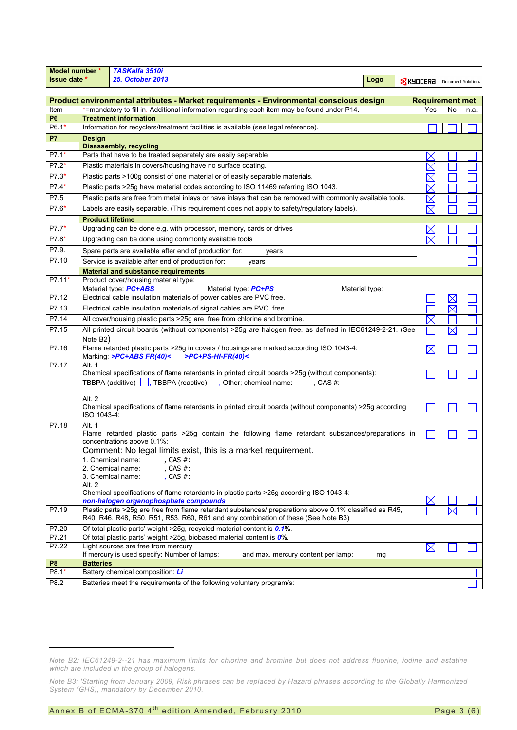| TASKalfa 3510i<br>Model number *                                                                                  |                                                                                                                        |                                                                                                                                                                                              |      |                                      |          |  |  |
|-------------------------------------------------------------------------------------------------------------------|------------------------------------------------------------------------------------------------------------------------|----------------------------------------------------------------------------------------------------------------------------------------------------------------------------------------------|------|--------------------------------------|----------|--|--|
| Issue date *                                                                                                      |                                                                                                                        | <b>25. October 2013</b>                                                                                                                                                                      | Logo | <b>XX KYDCERA</b> Document Solutions |          |  |  |
|                                                                                                                   |                                                                                                                        |                                                                                                                                                                                              |      |                                      |          |  |  |
| Product environmental attributes - Market requirements - Environmental conscious design<br><b>Requirement met</b> |                                                                                                                        |                                                                                                                                                                                              |      |                                      |          |  |  |
| Item                                                                                                              | *=mandatory to fill in. Additional information regarding each item may be found under P14.<br>Yes<br>No<br>n.a.        |                                                                                                                                                                                              |      |                                      |          |  |  |
| <b>P6</b>                                                                                                         |                                                                                                                        | <b>Treatment information</b>                                                                                                                                                                 |      |                                      |          |  |  |
| P6.1*                                                                                                             |                                                                                                                        | Information for recyclers/treatment facilities is available (see legal reference).                                                                                                           |      |                                      |          |  |  |
| <b>P7</b>                                                                                                         | <b>Design</b>                                                                                                          |                                                                                                                                                                                              |      |                                      |          |  |  |
|                                                                                                                   |                                                                                                                        | <b>Disassembly, recycling</b>                                                                                                                                                                |      |                                      |          |  |  |
| $P7.1*$                                                                                                           |                                                                                                                        | Parts that have to be treated separately are easily separable                                                                                                                                |      | $\boldsymbol{\mathsf{X}}$            |          |  |  |
| $P7.2*$                                                                                                           |                                                                                                                        | Plastic materials in covers/housing have no surface coating.                                                                                                                                 |      | $\times$                             |          |  |  |
| $P7.3*$                                                                                                           |                                                                                                                        | Plastic parts >100g consist of one material or of easily separable materials.                                                                                                                |      | $\times$                             |          |  |  |
| P7.4*                                                                                                             |                                                                                                                        | Plastic parts >25g have material codes according to ISO 11469 referring ISO 1043.                                                                                                            |      | $\times$                             |          |  |  |
| P7.5                                                                                                              |                                                                                                                        | Plastic parts are free from metal inlays or have inlays that can be removed with commonly available tools.                                                                                   |      | $\boxtimes$                          |          |  |  |
| $P7.6*$                                                                                                           |                                                                                                                        | Labels are easily separable. (This requirement does not apply to safety/regulatory labels).                                                                                                  |      | $\boxtimes$                          |          |  |  |
|                                                                                                                   | <b>Product lifetime</b>                                                                                                |                                                                                                                                                                                              |      |                                      |          |  |  |
| $P7.7*$                                                                                                           |                                                                                                                        | Upgrading can be done e.g. with processor, memory, cards or drives                                                                                                                           |      | $\times$                             |          |  |  |
| $P7.8*$                                                                                                           |                                                                                                                        | Upgrading can be done using commonly available tools                                                                                                                                         |      | $\bm{\times}$                        |          |  |  |
| P7.9.                                                                                                             |                                                                                                                        | Spare parts are available after end of production for:<br>years                                                                                                                              |      |                                      |          |  |  |
| P7.10                                                                                                             |                                                                                                                        |                                                                                                                                                                                              |      |                                      |          |  |  |
|                                                                                                                   |                                                                                                                        | Service is available after end of production for:<br>years                                                                                                                                   |      |                                      |          |  |  |
| P7.11*                                                                                                            |                                                                                                                        | <b>Material and substance requirements</b><br>Product cover/housing material type:                                                                                                           |      |                                      |          |  |  |
|                                                                                                                   |                                                                                                                        | Material type: PC+ABS<br>Material type: <b>PC+PS</b><br>Material type:                                                                                                                       |      |                                      |          |  |  |
| P7.12                                                                                                             |                                                                                                                        | Electrical cable insulation materials of power cables are PVC free.                                                                                                                          |      |                                      | $\times$ |  |  |
| P7.13                                                                                                             |                                                                                                                        | Electrical cable insulation materials of signal cables are PVC free                                                                                                                          |      |                                      |          |  |  |
|                                                                                                                   |                                                                                                                        |                                                                                                                                                                                              |      |                                      | $\times$ |  |  |
| P7.14                                                                                                             |                                                                                                                        | All cover/housing plastic parts >25g are free from chlorine and bromine.                                                                                                                     |      | $\times$                             |          |  |  |
| P7.15                                                                                                             |                                                                                                                        | All printed circuit boards (without components) > 25g are halogen free. as defined in IEC61249-2-21. (See                                                                                    |      |                                      |          |  |  |
|                                                                                                                   | Note B2)                                                                                                               |                                                                                                                                                                                              |      |                                      |          |  |  |
| P7.16                                                                                                             |                                                                                                                        | Flame retarded plastic parts >25g in covers / housings are marked according ISO 1043-4:<br>$P$ C+PS-HI-FR(40)<<br>Marking: >PC+ABS FR(40)<                                                   |      | $\boxtimes$                          |          |  |  |
| P7.17                                                                                                             | Alt. 1                                                                                                                 |                                                                                                                                                                                              |      |                                      |          |  |  |
|                                                                                                                   | Chemical specifications of flame retardants in printed circuit boards >25g (without components):                       |                                                                                                                                                                                              |      |                                      |          |  |  |
|                                                                                                                   | TBBPA (additive) $\boxed{\phantom{a}}$ , TBBPA (reactive) $\boxed{\phantom{a}}$ , Other; chemical name:<br>, CAS $#$ : |                                                                                                                                                                                              |      |                                      |          |  |  |
|                                                                                                                   | Alt. 2                                                                                                                 |                                                                                                                                                                                              |      |                                      |          |  |  |
|                                                                                                                   |                                                                                                                        | Chemical specifications of flame retardants in printed circuit boards (without components) >25g according                                                                                    |      |                                      |          |  |  |
|                                                                                                                   | ISO 1043-4:                                                                                                            |                                                                                                                                                                                              |      |                                      |          |  |  |
| P7.18                                                                                                             | Alt. 1                                                                                                                 |                                                                                                                                                                                              |      |                                      |          |  |  |
|                                                                                                                   |                                                                                                                        | Flame retarded plastic parts >25g contain the following flame retardant substances/preparations in<br>concentrations above 0.1%:                                                             |      |                                      |          |  |  |
|                                                                                                                   |                                                                                                                        | Comment: No legal limits exist, this is a market requirement.                                                                                                                                |      |                                      |          |  |  |
|                                                                                                                   |                                                                                                                        | , CAS #:<br>1. Chemical name:                                                                                                                                                                |      |                                      |          |  |  |
|                                                                                                                   |                                                                                                                        | , CAS #:<br>2. Chemical name:                                                                                                                                                                |      |                                      |          |  |  |
|                                                                                                                   |                                                                                                                        | , CAS $#$ :<br>3. Chemical name:                                                                                                                                                             |      |                                      |          |  |  |
|                                                                                                                   | Alt. 2                                                                                                                 |                                                                                                                                                                                              |      |                                      |          |  |  |
|                                                                                                                   |                                                                                                                        | Chemical specifications of flame retardants in plastic parts >25g according ISO 1043-4:                                                                                                      |      |                                      |          |  |  |
|                                                                                                                   |                                                                                                                        | non-halogen organophosphate compounds                                                                                                                                                        |      |                                      |          |  |  |
| P7.19                                                                                                             |                                                                                                                        | Plastic parts >25g are free from flame retardant substances/ preparations above 0.1% classified as R45,<br>R40, R46, R48, R50, R51, R53, R60, R61 and any combination of these (See Note B3) |      |                                      |          |  |  |
| P7.20                                                                                                             |                                                                                                                        | Of total plastic parts' weight >25g, recycled material content is 0.1%.                                                                                                                      |      |                                      |          |  |  |
| P7.21                                                                                                             |                                                                                                                        | Of total plastic parts' weight >25g, biobased material content is 0%.                                                                                                                        |      |                                      |          |  |  |
| P7.22                                                                                                             |                                                                                                                        | Light sources are free from mercury                                                                                                                                                          |      | $\boxtimes$                          |          |  |  |
|                                                                                                                   |                                                                                                                        | If mercury is used specify: Number of lamps:<br>and max. mercury content per lamp:                                                                                                           | mg   |                                      |          |  |  |
| P <sub>8</sub><br>P8.1*                                                                                           | <b>Batteries</b>                                                                                                       |                                                                                                                                                                                              |      |                                      |          |  |  |
|                                                                                                                   |                                                                                                                        | Battery chemical composition: Li                                                                                                                                                             |      |                                      |          |  |  |
| P8.2                                                                                                              |                                                                                                                        | Batteries meet the requirements of the following voluntary program/s:                                                                                                                        |      |                                      |          |  |  |

l

*Note B2: IEC61249-2--21 has maximum limits for chlorine and bromine but does not address fluorine, iodine and astatine which are included in the group of halogens.* 

*Note B3: 'Starting from January 2009, Risk phrases can be replaced by Hazard phrases according to the Globally Harmonized System (GHS), mandatory by December 2010.*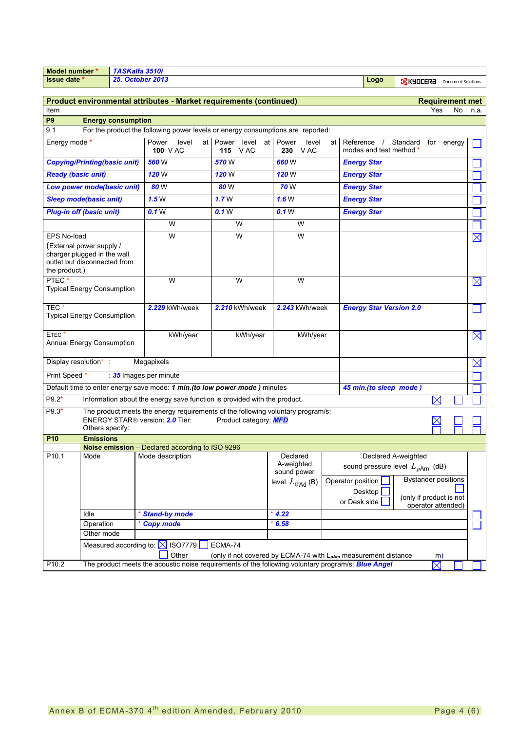| Model number '                                                                                                                 |                                                                                                                                                                            | TASKalfa 3510i            |                                                                                 |                                                                     |                                       |                |                                                          |                                |             |                              |             |
|--------------------------------------------------------------------------------------------------------------------------------|----------------------------------------------------------------------------------------------------------------------------------------------------------------------------|---------------------------|---------------------------------------------------------------------------------|---------------------------------------------------------------------|---------------------------------------|----------------|----------------------------------------------------------|--------------------------------|-------------|------------------------------|-------------|
| <b>Issue date</b>                                                                                                              | <b>25. October 2013</b><br>Logo<br><b>EX KYOCERA</b> Document Solutions                                                                                                    |                           |                                                                                 |                                                                     |                                       |                |                                                          |                                |             |                              |             |
|                                                                                                                                |                                                                                                                                                                            |                           |                                                                                 |                                                                     |                                       |                |                                                          |                                |             |                              |             |
|                                                                                                                                |                                                                                                                                                                            |                           | Product environmental attributes - Market requirements (continued)              |                                                                     |                                       |                |                                                          |                                | Yes         | <b>Requirement met</b><br>No |             |
| Item                                                                                                                           |                                                                                                                                                                            |                           |                                                                                 |                                                                     |                                       |                |                                                          |                                |             |                              | n.a.        |
| P <sub>9</sub><br>9.1                                                                                                          |                                                                                                                                                                            | <b>Energy consumption</b> | For the product the following power levels or energy consumptions are reported: |                                                                     |                                       |                |                                                          |                                |             |                              |             |
|                                                                                                                                |                                                                                                                                                                            |                           |                                                                                 |                                                                     |                                       |                |                                                          |                                |             |                              |             |
| Energy mode *                                                                                                                  |                                                                                                                                                                            |                           | Power<br>level<br>at<br>100 V AC                                                | Power<br>level<br>at<br><b>115</b> VAC                              | Power<br>level<br>230 VAC             | at             | Reference<br>$\prime$<br>modes and test method *         | Standard                       | for         | energy                       |             |
| <b>Copying/Printing(basic unit)</b>                                                                                            |                                                                                                                                                                            |                           | 560 W                                                                           | 570 W                                                               | 660W                                  |                | <b>Energy Star</b>                                       |                                |             |                              |             |
| <b>Ready (basic unit)</b>                                                                                                      |                                                                                                                                                                            |                           | 120W                                                                            | <b>120 W</b>                                                        | <b>120 W</b>                          |                | <b>Energy Star</b>                                       |                                |             |                              |             |
| Low power mode(basic unit)                                                                                                     |                                                                                                                                                                            |                           | 80 W                                                                            | 80 W                                                                | <b>70</b> W                           |                | <b>Energy Star</b>                                       |                                |             |                              |             |
| <b>Sleep mode(basic unit)</b>                                                                                                  |                                                                                                                                                                            |                           | 1.5W                                                                            | 1.7W                                                                | 1.6W                                  |                | <b>Energy Star</b>                                       |                                |             |                              |             |
| <b>Plug-in off (basic unit)</b>                                                                                                |                                                                                                                                                                            |                           | 0.1 <sub>W</sub>                                                                | 0.1 <sub>W</sub>                                                    | 0.1 <sub>W</sub>                      |                | <b>Energy Star</b>                                       |                                |             |                              |             |
|                                                                                                                                |                                                                                                                                                                            |                           | W                                                                               | W                                                                   | W                                     |                |                                                          |                                |             |                              |             |
| <b>EPS No-load</b><br>(External power supply /<br>charger plugged in the wall<br>outlet but disconnected from<br>the product.) |                                                                                                                                                                            |                           | W                                                                               | W                                                                   | W                                     |                |                                                          |                                |             |                              | $\boxtimes$ |
| PTEC <sup>*</sup><br><b>Typical Energy Consumption</b>                                                                         |                                                                                                                                                                            |                           | W                                                                               | W                                                                   | W                                     |                |                                                          |                                |             |                              | $\boxtimes$ |
| TEC <sup>*</sup><br>Typical Energy Consumption                                                                                 |                                                                                                                                                                            |                           | 2.229 kWh/week                                                                  | 2.210 kWh/week                                                      |                                       | 2.243 kWh/week |                                                          | <b>Energy Star Version 2.0</b> |             |                              |             |
| ETEC <sup>+</sup><br>Annual Energy Consumption                                                                                 |                                                                                                                                                                            |                           | kWh/year                                                                        | kWh/year                                                            | kWh/year                              |                |                                                          |                                |             |                              | $\boxtimes$ |
| Display resolution*:                                                                                                           |                                                                                                                                                                            |                           | Megapixels                                                                      |                                                                     |                                       |                |                                                          |                                |             |                              | $\boxtimes$ |
| Print Speed *                                                                                                                  |                                                                                                                                                                            |                           | 35 Images per minute                                                            |                                                                     |                                       |                |                                                          |                                |             |                              |             |
|                                                                                                                                |                                                                                                                                                                            |                           | Default time to enter energy save mode: 1 min. (to low power mode) minutes      |                                                                     |                                       |                | 45 min.(to sleep mode)                                   |                                |             |                              |             |
| P9.2*                                                                                                                          |                                                                                                                                                                            |                           | Information about the energy save function is provided with the product.        |                                                                     |                                       |                |                                                          |                                | $\boxtimes$ |                              |             |
| $P9.3*$                                                                                                                        | The product meets the energy requirements of the following voluntary program/s:<br>ENERGY STAR <sup>®</sup> version: 2.0 Tier:<br>Product category: MFD<br>Others specify: |                           |                                                                                 |                                                                     |                                       |                |                                                          |                                |             |                              |             |
| <b>P10</b>                                                                                                                     | <b>Emissions</b>                                                                                                                                                           |                           | Noise emission - Declared according to ISO 9296                                 |                                                                     |                                       |                |                                                          |                                |             |                              |             |
| P <sub>10.1</sub>                                                                                                              | Mode                                                                                                                                                                       |                           | Mode description                                                                |                                                                     | Declared<br>A-weighted<br>sound power |                | sound pressure level $L_{pAm}$ (dB)<br>Operator position | Declared A-weighted            |             | <b>Bystander positions</b>   |             |
|                                                                                                                                |                                                                                                                                                                            |                           |                                                                                 |                                                                     | level $L_{W\!A\!d}$ (B)               |                | Desktop<br>or Desk side                                  | (only if product is not        |             | operator attended)           |             |
|                                                                                                                                | Idle                                                                                                                                                                       |                           | <b>Stand-by mode</b>                                                            |                                                                     | $*$ 4.22                              |                |                                                          |                                |             |                              |             |
|                                                                                                                                | Operation                                                                                                                                                                  |                           | <b>Copy mode</b>                                                                |                                                                     | 6.58                                  |                |                                                          |                                |             |                              |             |
|                                                                                                                                | Other mode                                                                                                                                                                 |                           |                                                                                 |                                                                     |                                       |                |                                                          |                                |             |                              |             |
|                                                                                                                                |                                                                                                                                                                            |                           | Measured according to: $\boxtimes$ ISO7779                                      | ECMA-74                                                             |                                       |                |                                                          |                                |             |                              |             |
|                                                                                                                                |                                                                                                                                                                            |                           | Other                                                                           | (only if not covered by ECMA-74 with $L_{pAm}$ measurement distance |                                       |                |                                                          |                                | m)          |                              |             |
| P10.2                                                                                                                          | The product meets the acoustic noise requirements of the following voluntary program/s: <b>Blue Angel</b><br>$\boxtimes$                                                   |                           |                                                                                 |                                                                     |                                       |                |                                                          |                                |             |                              |             |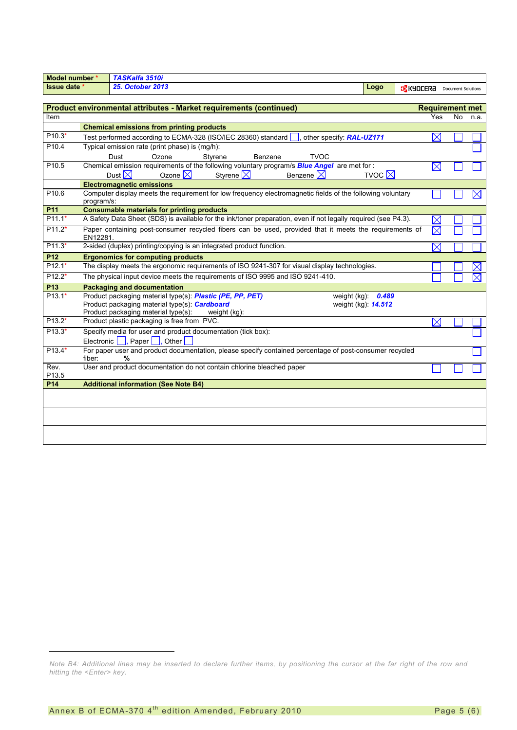| Model number *                                                     |                                                                                               | TASKalfa 3510i                                                                                                 |                         |                                      |                     |           |                        |
|--------------------------------------------------------------------|-----------------------------------------------------------------------------------------------|----------------------------------------------------------------------------------------------------------------|-------------------------|--------------------------------------|---------------------|-----------|------------------------|
| Issue date *                                                       |                                                                                               | <b>25. October 2013</b>                                                                                        | Logo                    | <b>IX KYOCERA</b> Document Solutions |                     |           |                        |
|                                                                    |                                                                                               |                                                                                                                |                         |                                      |                     |           |                        |
| Product environmental attributes - Market requirements (continued) |                                                                                               |                                                                                                                |                         |                                      |                     |           | <b>Requirement met</b> |
| Item                                                               |                                                                                               |                                                                                                                |                         |                                      | Yes                 | <b>No</b> | n.a.                   |
|                                                                    |                                                                                               | <b>Chemical emissions from printing products</b>                                                               |                         |                                      |                     |           |                        |
| $P10.3*$                                                           |                                                                                               | Test performed according to ECMA-328 (ISO/IEC 28360) standard<br>other specify: RAL-UZ171                      |                         |                                      | $\boxtimes$         |           |                        |
| P10.4                                                              | Typical emission rate (print phase) is (mg/h):                                                |                                                                                                                |                         |                                      |                     |           |                        |
|                                                                    |                                                                                               | Dust<br>Ozone<br>Styrene<br><b>TVOC</b><br>Benzene                                                             |                         |                                      |                     |           |                        |
| P <sub>10.5</sub>                                                  |                                                                                               | Chemical emission requirements of the following voluntary program/s <b>Blue Angel</b> are met for :            |                         |                                      | $\boxtimes$         |           |                        |
|                                                                    |                                                                                               | Dust $\boxtimes$<br>Ozone $\boxtimes$<br>Styrene $\boxtimes$<br>Benzene $\boxtimes$                            | TVOC $\not\blacksquare$ |                                      |                     |           |                        |
|                                                                    |                                                                                               | <b>Electromagnetic emissions</b>                                                                               |                         |                                      |                     |           |                        |
| P <sub>10.6</sub>                                                  | program/s:                                                                                    | Computer display meets the requirement for low frequency electromagnetic fields of the following voluntary     |                         |                                      |                     |           | $\times$               |
| P <sub>11</sub>                                                    |                                                                                               | <b>Consumable materials for printing products</b>                                                              |                         |                                      |                     |           |                        |
| $P11.1*$                                                           |                                                                                               | A Safety Data Sheet (SDS) is available for the ink/toner preparation, even if not legally required (see P4.3). |                         |                                      | $\times$            |           |                        |
| $P11.2*$                                                           |                                                                                               | Paper containing post-consumer recycled fibers can be used, provided that it meets the requirements of         |                         |                                      | $\overline{\times}$ |           |                        |
|                                                                    | EN12281.                                                                                      |                                                                                                                |                         |                                      |                     |           |                        |
| $P11.3*$                                                           |                                                                                               | 2-sided (duplex) printing/copying is an integrated product function.                                           |                         |                                      | $\times$            |           |                        |
| P12                                                                |                                                                                               | <b>Ergonomics for computing products</b>                                                                       |                         |                                      |                     |           |                        |
| $P12.1*$                                                           | The display meets the ergonomic requirements of ISO 9241-307 for visual display technologies. |                                                                                                                |                         |                                      |                     |           |                        |
| $P12.2*$                                                           |                                                                                               | The physical input device meets the requirements of ISO 9995 and ISO 9241-410.                                 |                         |                                      |                     |           |                        |
| P13                                                                |                                                                                               | <b>Packaging and documentation</b>                                                                             |                         |                                      |                     |           |                        |
| $P13.1*$                                                           |                                                                                               | Product packaging material type(s): Plastic (PE, PP, PET)                                                      | weight $(kg)$ : $0.489$ |                                      |                     |           |                        |
|                                                                    |                                                                                               | Product packaging material type(s): Cardboard<br>weight (kg): <b>14.512</b>                                    |                         |                                      |                     |           |                        |
| P <sub>13.2</sub> *                                                |                                                                                               | Product packaging material type(s):<br>weight (kg):<br>Product plastic packaging is free from PVC.             |                         |                                      | $\boxtimes$         |           |                        |
| $P13.3*$                                                           |                                                                                               | Specify media for user and product documentation (tick box):                                                   |                         |                                      |                     |           |                        |
|                                                                    | Electronic                                                                                    | Paper<br>Other                                                                                                 |                         |                                      |                     |           |                        |
| $P13.4*$                                                           |                                                                                               | For paper user and product documentation, please specify contained percentage of post-consumer recycled        |                         |                                      |                     |           |                        |
|                                                                    | fiber:                                                                                        | %                                                                                                              |                         |                                      |                     |           |                        |
| Rev.                                                               |                                                                                               | User and product documentation do not contain chlorine bleached paper                                          |                         |                                      |                     |           |                        |
| P13.5                                                              |                                                                                               |                                                                                                                |                         |                                      |                     |           |                        |
| <b>P14</b>                                                         |                                                                                               | <b>Additional information (See Note B4)</b>                                                                    |                         |                                      |                     |           |                        |
|                                                                    |                                                                                               |                                                                                                                |                         |                                      |                     |           |                        |
|                                                                    |                                                                                               |                                                                                                                |                         |                                      |                     |           |                        |
|                                                                    |                                                                                               |                                                                                                                |                         |                                      |                     |           |                        |
|                                                                    |                                                                                               |                                                                                                                |                         |                                      |                     |           |                        |
|                                                                    |                                                                                               |                                                                                                                |                         |                                      |                     |           |                        |

l

*Note B4: Additional lines may be inserted to declare further items, by positioning the cursor at the far right of the row and hitting the <Enter> key.*